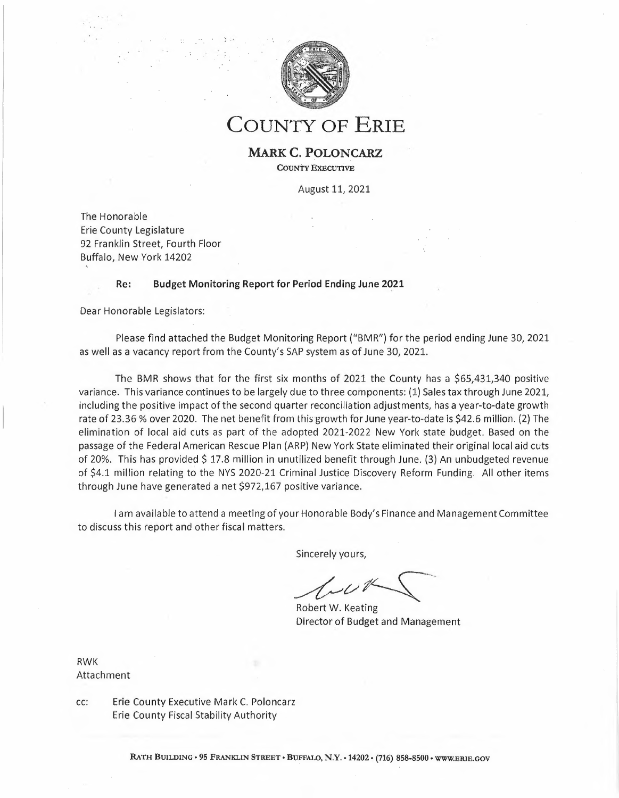

**COUNTY OF ERIE**

**MARK C. POLONCARZ COUNTY EXECUTIVE**

August 11, 2021

The Honorable Erie County Legislature 92 Franklin Street, Fourth Floor Buffalo, New York 14202

## **Re: Budget Monitoring Report for Period Ending June 2021**

Dear Honorable Legislators:

Please find attached the Budget Monitoring Report ("BMR") for the period ending June 30, <sup>2021</sup> as well as <sup>a</sup> vacancy report from the County's SAP system as of June 30, 2021.

The BMR shows that for the first six months of 2021 the County has <sup>a</sup> \$65,431,340 positive variance. This variance continues to be largely due to three components: (1) Sales tax through June 2021, including the positive impact of the second quarter reconciliation adjustments, has <sup>a</sup> year-to-date growth rate of 23.36% over 2020. The net benefit from this growth for June year-to-date is \$42.6 million. (2) The elimination of local aid cuts as part of the adopted 2021-2022 New York state budget. Based on the passage of the Federal American Rescue Plan (ARP) New York State eliminated their original local aid cuts of 20%. This has provided \$ 17.8 million in unutilized benefit through June. (3) An unbudgeted revenue of \$4.1 million relating to the NYS 2020-21 Criminal Justice Discovery Reform Funding. All other items through June have generated <sup>a</sup> net \$972,167 positive variance. *FL* New York State<br>tate eliminated t<br>through June. (3)<br>iscovery Reform<br>Ady's Finance and<br>s,<br>s,<br>ting<br>dget and Manage

<sup>I</sup> am available to attend <sup>a</sup> meeting of your Honorable Body's Finance and Management Committee to discuss this report and other fiscal matters.

Sincerely yours,

*Sincerely yours*<br> *-tournal*<br> *Robert W. Keat*<br>
Director of Bud

Robert W. Keating Director of Budget and Management

RWK Attachment

cc: Erie County Executive Mark C. Poloncarz Erie County Fiscal Stability Authority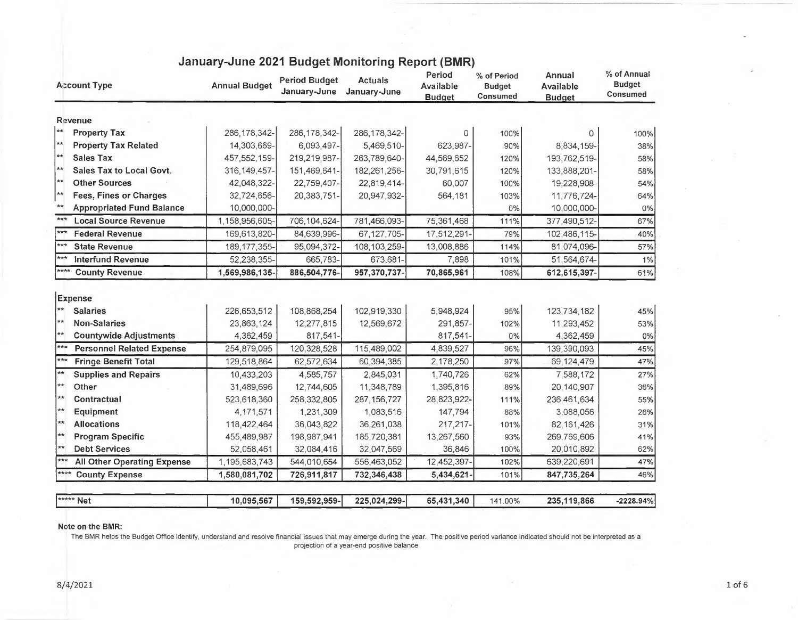| <b>Account Type</b>                             | <b>Annual Budget</b> | <b>Period Budget</b><br>January-June | <b>Actuals</b><br>January-June | Period<br>Available<br><b>Budget</b> | % of Period<br><b>Budget</b><br>Consumed | Annual<br>Available<br><b>Budget</b> | % of Annual<br><b>Budget</b><br>Consumed |
|-------------------------------------------------|----------------------|--------------------------------------|--------------------------------|--------------------------------------|------------------------------------------|--------------------------------------|------------------------------------------|
| Revenue                                         |                      |                                      |                                |                                      |                                          |                                      |                                          |
| $\star\star$<br><b>Property Tax</b>             | 286, 178, 342-       | 286, 178, 342-                       | 286, 178, 342-                 | 0                                    | 100%                                     | 0                                    | 100%                                     |
| $**$<br><b>Property Tax Related</b>             | 14,303,669-          | 6,093,497-                           | 5,469,510-                     | 623,987-                             | 90%                                      | 8,834,159-                           | 38%                                      |
| $**$<br><b>Sales Tax</b>                        | 457, 552, 159-       | 219,219,987-                         | 263,789,640-                   | 44,569,652                           | 120%                                     | 193,762,519-                         | 58%                                      |
| **<br>Sales Tax to Local Govt.                  | 316, 149, 457-       | 151,469,641-                         | 182,261,256-                   | 30,791,615                           | 120%                                     | 133,888,201-                         | 58%                                      |
| $**$<br><b>Other Sources</b>                    | 42,048,322-          | 22,759,407-                          | 22,819,414-                    | 60,007                               | 100%                                     | 19,228,908-                          | 54%                                      |
| $**$<br><b>Fees, Fines or Charges</b>           | 32,724,656-          | 20,383,751-                          | 20,947,932-                    | 564,181                              | 103%                                     | 11,776,724-                          | 64%                                      |
| <b>Appropriated Fund Balance</b>                | 10,000,000-          |                                      |                                |                                      | 0%                                       | 10,000,000-                          | 0%                                       |
| $***$<br><b>Local Source Revenue</b>            | 1,158,956,605-       | 706,104,624-                         | 781,466,093-                   | 75,361,468                           | 111%                                     | 377,490,512-                         | 67%                                      |
| $***$<br><b>Federal Revenue</b>                 | 169,613,820-         | 84,639,996-                          | 67, 127, 705-                  | 17,512,291-                          | 79%                                      | 102,486,115-                         | 40%                                      |
| $***$<br><b>State Revenue</b>                   | 189, 177, 355-       | 95,094,372-                          | 108, 103, 259-                 | 13,008,886                           | 114%                                     | 81,074,096-                          | 57%                                      |
| $***$<br><b>Interfund Revenue</b>               | 52,238,355-          | 665,783-                             | 673,681-                       | 7,898                                | 101%                                     | 51,564,674-                          | 1%                                       |
| ****<br><b>County Revenue</b>                   | 1,569,986,135-       | 886,504,776-                         | 957,370,737-                   | 70,865,961                           | 108%                                     | 612,615,397-                         | 61%                                      |
| <b>Expense</b>                                  |                      |                                      |                                |                                      |                                          |                                      |                                          |
| $**$<br><b>Salaries</b>                         | 226,653,512          | 108,868,254                          | 102,919,330                    | 5,948,924                            | 95%                                      | 123,734,182                          | 45%                                      |
| $**$<br><b>Non-Salaries</b>                     | 23,863,124           | 12,277,815                           | 12,569,672                     | 291,857-                             | 102%                                     | 11,293,452                           | 53%                                      |
| $**$<br><b>Countywide Adjustments</b>           | 4,362,459            | 817,541-                             |                                | 817,541-                             | 0%                                       | 4,362,459                            | 0%                                       |
| $** \times$<br><b>Personnel Related Expense</b> | 254,879,095          | 120,328,528                          | 115,489,002                    | 4,839,527                            | 96%                                      | 139,390,093                          | 45%                                      |
| $***$<br><b>Fringe Benefit Total</b>            | 129,518,864          | 62,572,634                           | 60,394,385                     | 2,178,250                            | 97%                                      | 69,124,479                           | 47%                                      |
| ∤∗∗<br><b>Supplies and Repairs</b>              | 10,433,203           | 4,585,757                            | 2,845,031                      | 1,740,726                            | 62%                                      | 7,588,172                            | 27%                                      |
| ¦**<br>Other                                    | 31,489,696           | 12,744,605                           | 11,348,789                     | 1,395,816                            | 89%                                      | 20,140,907                           | 36%                                      |
| $\star\star$<br>Contractual                     | 523,618,360          | 258,332,805                          | 287, 156, 727                  | 28,823,922-                          | 111%                                     | 236,461,634                          | 55%                                      |
| **<br><b>Equipment</b>                          | 4,171,571            | 1,231,309                            | 1,083,516                      | 147,794                              | 88%                                      | 3,088,056                            | 26%                                      |
| sksk<br><b>Allocations</b>                      | 118,422,464          | 36,043,822                           | 36,261,038                     | 217,217-                             | 101%                                     | 82, 161, 426                         | 31%                                      |
| **<br><b>Program Specific</b>                   | 455,489,987          | 198,987,941                          | 185,720,381                    | 13,267,560                           | 93%                                      | 269,769,606                          | 41%                                      |
| $\star\star$<br><b>Debt Services</b>            | 52,058,461           | 32,084,416                           | 32,047,569                     | 36,846                               | 100%                                     | 20,010,892                           | 62%                                      |
| $***$<br><b>All Other Operating Expense</b>     | 1,195,683,743        | 544,010,654                          | 556,463,052                    | 12,452,397-                          | 102%                                     | 639,220,691                          | 47%                                      |
| ****<br><b>County Expense</b>                   | 1,580,081,702        | 726,911,817                          | 732,346,438                    | 5,434,621-                           | 101%                                     | 847,735,264                          | 46%                                      |
| ***** Net                                       | 10,095,567           | 159,592,959-                         | 225,024,299-                   | 65,431,340                           | 141.00%                                  | 235, 119, 866                        | $-2228.94%$                              |

## **January-June 2021 Budget Monitoring Report (BMR)**

## **Note on the BMR:**

The BMR helps the Budget Office identify, understand and resolve financial issues that may emerge during the year. The positive period variance indicated should not be interpreted as a projection of <sup>a</sup> year-end positive balance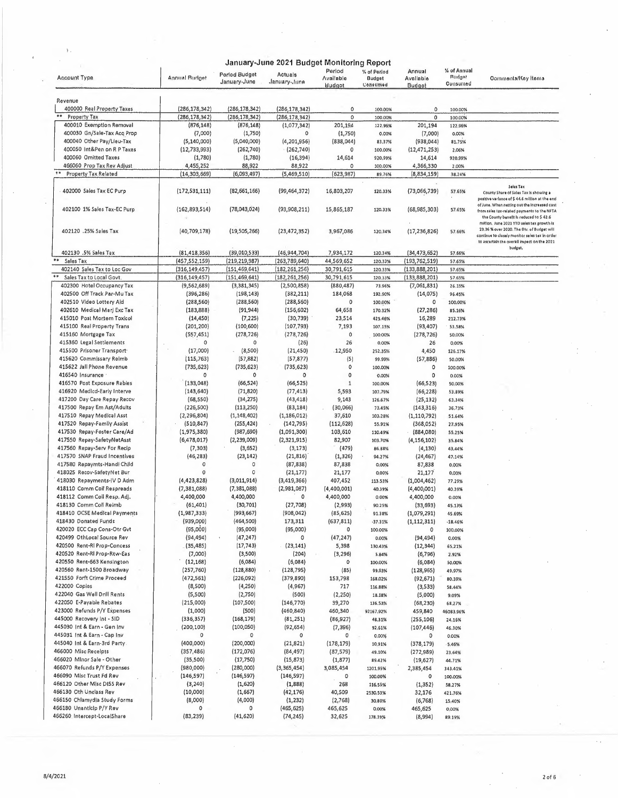|                                                           |                           |                               | January-June 2021 Budget Monitoring Report |                                             |                                   |                               |                                          |                                                                                                                                                                                      |
|-----------------------------------------------------------|---------------------------|-------------------------------|--------------------------------------------|---------------------------------------------|-----------------------------------|-------------------------------|------------------------------------------|--------------------------------------------------------------------------------------------------------------------------------------------------------------------------------------|
| <b>Account Type</b>                                       | <b>Annual Budget</b>      | Perlod Budget<br>January-June | Actuals<br>January-June                    | Period<br><b>Available</b><br><b>Hudgot</b> | % of Period<br>Budget<br>Consumed | Annual<br>Avallable<br>Budget | % of Annual<br><b>Budget</b><br>Consumed | Comments/Key Items                                                                                                                                                                   |
| Revenue                                                   |                           |                               |                                            |                                             |                                   |                               |                                          |                                                                                                                                                                                      |
| 400000 Real Property Taxes                                | (286, 178, 342)           | (286, 178, 342)               | (286, 178, 342)                            | 0                                           | 100.00%                           | 0                             | 100.00%                                  |                                                                                                                                                                                      |
| $\ast\ast$<br><b>Property Tax</b>                         | (286, 178, 342)           | (286, 178, 342)               | (286, 178, 342)                            | $\circ$                                     | 100.00%                           | 0                             | 100.00%                                  |                                                                                                                                                                                      |
| 400010 Exemption Removal                                  | (876, 148)                | (876, 148)                    | (1,077,342)                                | 201,194                                     | 122.96%                           | 201,194                       | 122.96%                                  |                                                                                                                                                                                      |
| 400030 Gn/Sale-Tax Acq Prop                               | (7,000)                   | (1,750)                       | ٥                                          | (1,750)                                     | 0.00%                             | (7,000)                       | 0,00%                                    |                                                                                                                                                                                      |
| 400040 Other Pay/Lieu-Tax                                 | (5, 140, 000)             | (5,040,000)                   | (4, 201, 956)                              | (838, 044)                                  | 83,37%                            | (938,044)                     | 81.75%                                   |                                                                                                                                                                                      |
| 400050 Int&Pen on R P Taxes                               | (12, 733, 993)            | (262, 740)                    | (262,740)                                  | 0                                           | 100.00%                           | (12, 471, 253)                | 2.06%                                    |                                                                                                                                                                                      |
| 400060 Omitted Taxes                                      | (1,780)                   | (1,780)                       | (16, 394)                                  | 14,614                                      | 920,99%                           | 14,614                        | 920,99%                                  |                                                                                                                                                                                      |
| 466060 Prop Tax Rev Adjust<br><b>Property Tax Related</b> | 4,455,252                 | 88,922                        | 88,922<br>(5,469,510)                      | 0<br>(623, 987)                             | 100.00%                           | 4,366,330                     | 2.00%                                    |                                                                                                                                                                                      |
|                                                           | (14, 303, 669)            | (6,093,497)                   |                                            |                                             | 89,76%                            | (8,834,159)                   | 38,24%                                   |                                                                                                                                                                                      |
| 402000 Sales Tax EC Purp                                  | (172, 531, 111)           | (82,661,166)                  | (99, 464, 372)                             | 16,803,207                                  | 120.33%                           | (73,066,739)                  | 57.65%                                   | Seles Tax<br>County Share of Sales Tax Is showing a<br>positive variance of \$44.6 million at the end                                                                                |
| 402100 1% Sales Tax-EC Purp                               | (162, 893, 514)           | (78,043,024)                  | (93,908,211)                               | 15,865,187                                  | 120.33%                           | (68, 985, 303)                | 57.65%                                   | of June. When netting out the increesed cost<br>from sales tax-related payments to the NFTA<br>the County benefit is reduced to \$42.6<br>millton, June 2021 YTD seles tex growth is |
| 402120 .25% Sales Tax                                     | (40, 709, 178)            | (19, 505, 266)                | (23, 472, 352)                             | 3,967,086                                   | 120.34%                           | (17, 236, 826)                | 57.66%                                   | 23.36 % over 2020. The DIv. of Budget will<br>continue to closely monitor seles tex in order<br>to ascertain the overall impect on the 2021                                          |
| 402130 .5% Sales Tax                                      | (81, 418, 356)            | (39,010,533)                  | (46, 944, 704)                             | 7,934,172                                   | 120.34%                           | (34, 473, 652)                | 57.66%                                   | budget.                                                                                                                                                                              |
| **<br>Sales Tax                                           | (457, 552, 159)           | (219, 219, 987)               | (263, 789, 640)                            | 44,569,652                                  | 120,33%                           | (193,762,519)                 | 57.65%                                   |                                                                                                                                                                                      |
| 402140 Sales Tax to Loc Gov                               | (316, 149, 457)           | (151, 469, 641)               | (182, 261, 256)                            | 30,791,615                                  | 120,33%                           | (133,888,201)                 | 57.65%                                   |                                                                                                                                                                                      |
| Sales Tax to Local Govt.                                  | (316, 149, 457)           | (151, 469, 641)               | (182, 261, 256)                            | 30,791,615                                  | 120.33%                           | (133,888,201)                 | 57.65%                                   |                                                                                                                                                                                      |
| 402300 Hotel Occupancy Tax                                | (9,562,689)               | (3, 381, 345)                 | (2,500,858)                                | (880, 487)                                  | 73.96%                            | (7,061,831)                   | 26.15%                                   |                                                                                                                                                                                      |
| 402500 Off Track Par-Mu Tax                               | (396, 286)                | (198, 143)                    | (382, 211)                                 | 184,068                                     | 192.90%                           | (14, 075)                     | 96.45%                                   |                                                                                                                                                                                      |
| 402510 Video Lottery Aid                                  | (288,560)                 | (288, 560)                    | (288, 560)                                 | 0                                           | 100.00%                           | 0                             | 100,00%                                  |                                                                                                                                                                                      |
| 402610 Medical Marj Exc Tax                               | (183, 888)                | (91, 944)                     | (156, 602)                                 | 64,658                                      | 170.32%                           | (27, 286)                     | 85.16%                                   |                                                                                                                                                                                      |
| 415010 Post Mortem Toxicol                                | (14, 450)                 | (7, 225)                      | (30, 739)                                  | 23,514                                      | 425.46%                           | 16,289                        | 212.73%                                  |                                                                                                                                                                                      |
| 415100 Real Property Trans                                | (201, 200)                | (100, 600)                    | (107, 793)                                 | 7,193                                       | 107.15%                           | (93, 407)                     | 53.58%                                   |                                                                                                                                                                                      |
| 415160 Mortgage Tax                                       | (557, 451)                | (278, 726)                    | (278, 726)                                 | 0                                           | 100.00%                           | (278, 726)                    | 50,00%                                   |                                                                                                                                                                                      |
| 415360 Legal Settlements                                  | $\circ$                   | $\circ$                       | (26)                                       | 26                                          | 0.00%                             | 26                            | 0.00%                                    |                                                                                                                                                                                      |
| 415500 Prisoner Transport                                 | (17,000)                  | (8,500)                       | (21, 450)                                  | 12,950                                      | 252.35%                           | 4,450                         | 126.17%                                  |                                                                                                                                                                                      |
| 415620 Commissary Reimb                                   | (115, 763)                | (57, 882)                     | (57, 877)                                  | (5)                                         | 99.99%                            | (57,886)                      | 50.00%                                   |                                                                                                                                                                                      |
| 415622 Jall Phone Revenue                                 | (735, 623)                | (735, 623)                    | (735, 623)                                 | 0                                           | 100.00%                           | 0                             | 100.00%                                  |                                                                                                                                                                                      |
| 416540 Insurance                                          | 0                         | $\circ$                       | 0                                          | 0                                           | 0.00%                             | 0                             | 0.00%                                    |                                                                                                                                                                                      |
| 416570 Post Exposure Rabies                               | (133,048)                 | (66, 524)                     | (66, 525)                                  | 1                                           | 100.00%                           | (66, 523)                     | 50.00%                                   |                                                                                                                                                                                      |
| 416920 Medicd-Early Interve                               | (143, 640)                | (71, 820)                     | (77, 413)                                  | 5,593                                       | 107.79%                           | (66, 228)                     | 53.89%                                   |                                                                                                                                                                                      |
| 417200 Day Care Repay Recov                               | (68, 550)                 | (34, 275)                     | (43, 418)                                  | 9,143                                       | 126.67%                           | (25, 132)                     | 63,34%                                   |                                                                                                                                                                                      |
| 417500 Repay Em Ast/Adults                                | (226, 500)                | (113, 250)                    | (83, 184)                                  | (30,066)                                    | 73.45%                            | (143, 316)                    | 36.73%                                   |                                                                                                                                                                                      |
| 417510 Repay Medical Asst                                 | (2, 296, 804)             | (1, 148, 402)                 | (1, 186, 012)                              | 37,610                                      | 103.28%                           | (1, 110, 792)                 | 51.64%                                   |                                                                                                                                                                                      |
| 417520 Repay-Family Assist                                | (510, 847)                | (255, 424)                    | (142, 795)                                 | (112, 628)                                  | 55.91%                            | (368,052)                     | 27.95%                                   |                                                                                                                                                                                      |
| 417530 Repay-Foster Care/Ad                               | (1,975,380)               | (987, 690)                    | (1,091,300)                                | 103,610                                     | 110.49%                           | (884,080)                     | 55.25%                                   |                                                                                                                                                                                      |
| 417550 Repay-SafetyNetAsst<br>417560 Repay-Serv For Recip | (6, 478, 017)<br>(7, 303) | (2, 239, 009)<br>(3,652)      | (2,321,915)<br>(3, 173)                    | 82,907<br>(479)                             | 103.70%                           | (4, 156, 102)                 | 35.84%                                   |                                                                                                                                                                                      |
| 417570 SNAP Fraud Incentives                              | (46, 283)                 | (23, 142)                     | (21, 816)                                  | (1, 326)                                    | 86.88%<br>94.27%                  | (4, 130)<br>(24, 467)         | 43.44%<br>47.14%                         |                                                                                                                                                                                      |
| 417580 Repaymts-Handi Child                               | o                         | 0                             | (87, 838)                                  | 87,838                                      | 0.00%                             | 87,838                        | 0.00%                                    |                                                                                                                                                                                      |
| 418025 Recov-SafetyNet Bur                                | 0                         | 0                             | (21, 177)                                  | 21,177                                      | 0.00%                             | 21,177                        | 0.00%                                    |                                                                                                                                                                                      |
| 418030 Repayments-IV D Adm                                | (4, 423, 828)             | (3,011,914)                   | (3, 419, 366)                              | 407,452                                     | 113.53%                           | (1,004,462)                   | 77.29%                                   |                                                                                                                                                                                      |
| 418110 Comm Coil Respreads                                | (7,381,088)               | (7, 381, 088)                 | (2,981,087)                                | (4,400,001)                                 | 40.39%                            | (4,400,001)                   | 40,39%                                   |                                                                                                                                                                                      |
| 418112 Comm Coll Resp. Adj.                               | 4,400,000                 | 4,400,000                     | 0                                          | 4,400,000                                   | 0.00%                             | 4,400,000                     | 0.00%                                    |                                                                                                                                                                                      |
| 418130 Comm Coll Reimb                                    | (61, 401)                 | (30, 701)                     | (27, 708)                                  | (2,993)                                     | 90.25%                            | (33, 693)                     | 45.13%                                   |                                                                                                                                                                                      |
| 418410 OCSE Medical Payments                              | (1,987,333)               | (993,667)                     | (908,042)                                  | (85, 625)                                   | 91.38%                            | (1,079,291)                   | 45.69%                                   |                                                                                                                                                                                      |
| 418430 Donated Funds                                      | (939,000)                 | (464,500)                     | 173,311                                    | (637,811)                                   | $-37.31%$                         | (1, 112, 311)                 | $-18.46%$                                |                                                                                                                                                                                      |
| 420020 ECC Cap Cons-Otr Gyt                               | (95,000)                  | (95,000)                      | (95,000)                                   | 0                                           | 100.00%                           | 0                             | 100.00%                                  |                                                                                                                                                                                      |
| 420499 OthLocal Source Rev                                | (94, 494)                 | (47,247)                      | 0                                          | (47, 247)                                   | 0.00%                             | (94,494)                      | 0.00%                                    |                                                                                                                                                                                      |
| 420500 Rent-RI Prop-Concess                               | (35, 485)                 | (17, 743)                     | (23, 141)                                  | 5,398                                       | 130.43%                           | (12,344)                      | 65,21%                                   |                                                                                                                                                                                      |
| 420520 Rent-RI Prop-Rtw-Eas                               | (7,000)                   | (3,500)                       | (204)                                      | (3, 296)                                    | 5.84%                             | (6, 796)                      | 2.92%                                    |                                                                                                                                                                                      |
| 420550 Rent-663 Kensington                                | (12, 168)                 | (6,084)                       | (6,084)                                    | 0                                           | 100.00%                           | (6,084)                       | 50.00%                                   |                                                                                                                                                                                      |
| 420560 Rent-1500 Broadway                                 | (257,760)                 | (128,880)                     | (128, 795)                                 | (85)                                        | 99,93%                            | (128, 965)                    | 49,97%                                   |                                                                                                                                                                                      |
| 421550 Forft Crime Proceed                                | (472, 561)                | (226,092)                     | (379, 890)                                 | 153,798                                     | 168.02%                           | (92, 671)                     | 80.39%                                   |                                                                                                                                                                                      |
| 422000 Coples                                             | (8,500)                   | (4,250)                       | (4, 967)                                   | 717                                         | 116.88%                           | (3, 533)                      | 58.44%                                   |                                                                                                                                                                                      |
| 422040 Gas Well Drill Rents                               | (5,500)                   | (2,750)                       | (500)                                      | (2, 250)                                    | 18.18%                            | (5,000)                       | 9.09%                                    |                                                                                                                                                                                      |
| 422050 E-Payable Rebates                                  | (215,000)                 | (107, 500)                    | (146, 770)                                 | 39,270                                      | 136.53%                           | (68, 230)                     | 68.27%                                   |                                                                                                                                                                                      |
| 423000 Refunds P/Y Expenses                               | (1,000)                   | (500)                         | (460, 840)                                 | 460,340                                     | 92167.92%                         | 459,840                       | 46083,96%                                |                                                                                                                                                                                      |
| 445000 Recovery Int - SID                                 | (336, 357)                | (168, 179)                    | (81, 251)                                  | (86, 927)                                   | 48.31%                            | (255,106)                     | 24.16%                                   |                                                                                                                                                                                      |
| 445030 Int & Earn - Gen Inv                               | (200, 100)                | (100, 050)                    | (92, 654)                                  | (7, 396)                                    | 92.61%                            | (107, 446)                    | 46.30%                                   |                                                                                                                                                                                      |
| 445031 Int & Earn - Cap Inv                               | 0                         | 0                             | 0                                          | 0                                           | 0.00%                             | 0                             | 0.00%                                    |                                                                                                                                                                                      |
| 445040 Int & Earn-3rd Party                               | (400,000)                 | (200,000)                     | (21, 821)                                  | (178, 179)                                  | 10,91%                            | (378, 179)                    | 5.46%                                    |                                                                                                                                                                                      |
| 466000 Misc Receipts                                      | (357, 486)                | (172,076)                     | (84,497)                                   | (87, 579)                                   | 49.10%                            | (272, 989)                    | 23.64%                                   |                                                                                                                                                                                      |
| 466020 Minor Sale - Other                                 | (35,500)                  | (17,750)                      | (15,873)                                   | (1,877)                                     | 89.42%                            | (19, 627)                     | 44.71%                                   |                                                                                                                                                                                      |
| 466070 Refunds P/Y Expenses                               | (980,000)                 | (280,000)                     | (3, 365, 454)                              | 3,085,454                                   | 1201,95%                          | 2,385,454                     | 343.41%                                  |                                                                                                                                                                                      |
| 466090 Misc Trust Fd Rev                                  | (146,597)                 | (146,597)                     | (146, 597)                                 | 0                                           | 100.00%                           | 0                             | 100.00%                                  |                                                                                                                                                                                      |
| 466120 Other Misc DI5S Rev                                | (3, 240)                  | (1,620)                       | (1,888)                                    | 268                                         | 116.55%                           | (1, 352)                      | 58.27%                                   |                                                                                                                                                                                      |
| 466130 Oth Unclass Rev                                    | (10,000)                  | (1,667)                       | (42, 176)                                  | 40,509                                      | 2530.53%                          | 32,176                        | 421.76%                                  |                                                                                                                                                                                      |
| 466150 Chlamydia Study Forms                              | (8,000)                   | (4,000)                       | (1, 232)                                   | (2,768)                                     | 30.80%                            | (6,768)                       | 15,40%                                   |                                                                                                                                                                                      |
| 466180 Unanticip P/Y Rev                                  | 0                         | 0                             | (465, 625)                                 | 465,625                                     | 0.00%                             | 465,625                       | 0,00%                                    |                                                                                                                                                                                      |
| 466260 Intercept-LocalShare                               | (83, 239)                 | (41, 620)                     | (74, 245)                                  | 32,625                                      | 178.39%                           | (8,994)                       | 89.19%                                   |                                                                                                                                                                                      |

 $\mathcal{L}$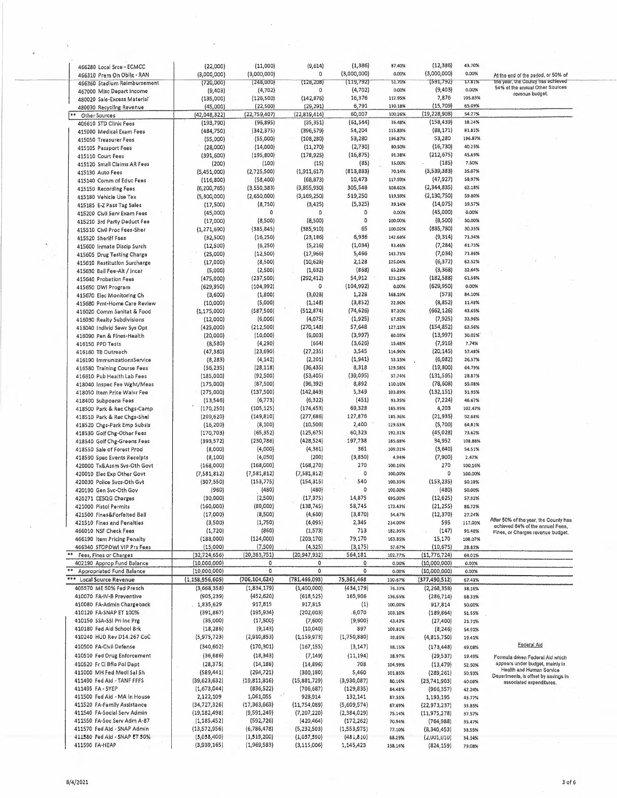|            | 466280 Local Srce - ECMCC<br>466310 Prem On Oblig - RAN<br>466360 Stadium Reimbursement<br>467000 Misc Depart Income     | (22,000)<br>(3,000,000)<br>(720,000)<br>(9,403)                   | (11,000)<br>(3,000,000)<br>(248,000)<br>(4, 702)            | (9,614)<br>$\Omega$<br>(128, 208)<br>$\overline{0}$        | (1, 386)<br>(3,000,000)<br>(119, 792)<br>(4, 702)       | 87.40%<br>0.00%<br>51,70%<br>0.00%      | (12, 386)<br>43.70%<br>(3,000,000)<br>0.00%<br>(591, 792)<br>17.81%<br>(9,403)<br>0.00%               | At the end of the period, or 50% of<br>the year, the County has achieved<br>54% of the annual Other Sources                             |  |
|------------|--------------------------------------------------------------------------------------------------------------------------|-------------------------------------------------------------------|-------------------------------------------------------------|------------------------------------------------------------|---------------------------------------------------------|-----------------------------------------|-------------------------------------------------------------------------------------------------------|-----------------------------------------------------------------------------------------------------------------------------------------|--|
|            | 480020 Sale-Excess Material<br>480030 Recycling Revenue<br>** Other Sources                                              | (135,000)<br>(45,000)<br>(42,048,322)                             | (126, 500)<br>(22, 500)<br>(22,759,407)                     | (142, 876)<br>(29, 291)<br>(22,819,414)                    | 16,376<br>6,791<br>60,007                               | 112.95%<br>130.18%<br>100.26%           | 7,876<br>105.83%<br>(15,709)<br>65.09%<br>(19, 228, 908)<br>54.27%                                    | revenue budget.                                                                                                                         |  |
|            | 406610 STD Clinic Fees<br>415000 Medical Exam Fees<br>415050 Treasurer Fees                                              | (193, 790)<br>(484,750)<br>(55,000)                               | (96, 895)<br>(342, 375)<br>(55,000)<br>(14,000)             | (35, 351)<br>(396, 579)<br>(108, 280)<br>(11, 270)         | (61, 544)<br>54,204<br>53,280<br>(2,730)                | 36.48%<br>115.83%<br>196.87%<br>80.50%  | (158, 439)<br>18.24%<br>(88, 171)<br>81.81%<br>53,280<br>196.87%<br>(16, 730)<br>40.25%               |                                                                                                                                         |  |
|            | 415105 Passport Fees<br>415110 Court Fees<br>415120 Small Claims AR Fees<br>415130 Auto Fees                             | (28,000)<br>(391, 600)<br>(200)<br>(5,451,000)                    | (195, 800)<br>(100)<br>(2,725,500)                          | (178, 925)<br>(15)<br>(1,911,617)                          | (16, 875)<br>(85)<br>(813, 883)                         | 91.38%<br>15,00%<br>70.14%              | (212, 675)<br>45,69%<br>(185)<br>7.50%<br>(3,539,383)<br>35.07%                                       |                                                                                                                                         |  |
|            | 415140 Comm of Educ Fees<br>415150 Recording Fees<br>415180 Vehicle Use Tax                                              | (116, 800)<br>(6, 200, 765)<br>(5,300,000)                        | (58, 400)<br>(3,550,383)<br>(2,650,000)                     | (68, 873)<br>(3,855,930)<br>(3, 169, 250)                  | 10,473<br>305,548<br>519,250                            | 117.93%<br>108.61%<br>119,59%           | (47, 927)<br>58,97%<br>(2,344,835)<br>62.18%<br>(2, 130, 750)<br>59.80%                               |                                                                                                                                         |  |
|            | 415185 E-Z Pass Tag Sales<br>415200 Civil Serv Exam Fees<br>415210 3rd Party Deduct Fee                                  | (17, 500)<br>(45,000)<br>(17,000)                                 | (8,750)<br>$\circ$<br>(8,500)                               | (3, 425)<br>$\circ$<br>(8,500)                             | (5, 325)<br>$\circ$<br>$\circ$                          | 39.14%<br>0,00%<br>100,00%              | (14, 075)<br>19.57%<br>(45,000)<br>0.00%<br>(8,500)<br>50.00%                                         |                                                                                                                                         |  |
| $\check{}$ | 41S510 Civil Proc Fees-Sher<br>415520 Sheriff Faes<br>415600 Inmate Discip Surch                                         | (1, 271, 690)<br>(32,500)<br>(12, 500)                            | (385, 845)<br>(16, 250)<br>(6, 250)                         | (385, 910)<br>(23, 186)<br>(5,216)                         | 65<br>6,936<br>(1,034)                                  | 100.02%<br>142.68%<br>83,46%            | (885, 780)<br>30,35%<br>(9, 314)<br>71.34%<br>(7, 284)<br>41.73%                                      |                                                                                                                                         |  |
|            | 41560S Drug Testing Charge<br>415610 Restitution Surcharge<br>415630 Bail Fee-Alt / Incar                                | (25,000)<br>(17,000)<br>(5,000)                                   | (12,500)<br>(8,500)<br>(2,500)                              | (17,966)<br>(10, 628)<br>(1,632)                           | 5,466<br>2,128<br>(868)                                 | 143.73%<br>125.04%<br>65.28%            | (7,034)<br>71.86%<br>(6, 372)<br>62.52%<br>(3, 368)<br>32.64%                                         |                                                                                                                                         |  |
|            | 415640 Probation Fees<br>415650 DWI Program<br>415670 Elec Monitoring Ch                                                 | (475,000)<br>(629, 950)<br>(3,600)                                | (237, 500)<br>(104, 992)<br>(1,800)<br>(5,000)              | (292, 412)<br>$\overline{0}$<br>(3,028)<br>(1, 148)        | 54,912<br>(104, 992)<br>1,228<br>(3,852)                | 123.12%<br>0.00%<br>168.19%<br>22.96%   | (182, 588)<br>61.56%<br>(629,950)<br>0.00%<br>(573)<br>84.10%<br>(8,852)<br>11.48%                    |                                                                                                                                         |  |
|            | 415680 Pmt-Home Care Revlew<br>416020 Comm Sanitat & Food<br>416030 Realty 5ubdivisions<br>416040 Individ Sewr Sys Opt   | (10,000)<br>(1, 175, 000)<br>(12,000)<br>(425,000)                | (587, 500)<br>(6,000)<br>(212,500)                          | (512, 874)<br>(4,075)<br>(270, 148)                        | (74, 626)<br>(1,925)<br>57,648                          | 87.30%<br>67,92%<br>127,13%             | (662, 126)<br>43.65%<br>(7,925)<br>33,96%<br>(154, 852)<br>63,56%                                     |                                                                                                                                         |  |
|            | 416090 Pen & Fines-Health<br>416150 PPD Tests<br>416160 TB Outreach                                                      | (20,000)<br>(8,580)<br>(47, 380)                                  | (10,000)<br>(4, 290)<br>(23, 690)                           | (6,003)<br>(664)<br>(27, 235)                              | (3,997)<br>(3,626)<br>3,545                             | 60.03%<br>15.48%<br>114.96%             | (13,997)<br>30.02%<br>(7, 916)<br>7.74%<br>(20, 145)<br>57.48%                                        |                                                                                                                                         |  |
|            | 416190 ImmunizationsService<br>416580 Training Course Fees<br>416610 Pub Health Lab Fees                                 | (8, 283)<br>(56, 235)<br>(185,000)                                | (4, 142)<br>(28, 118)<br>(92, 500)                          | (2, 201)<br>(36, 435)<br>(53, 405)                         | (1, 941)<br>8,318<br>(39, 095)                          | 53.15%<br>129.58%<br>57.74%             | (6,082)<br>26.57%<br>(19,800)<br>64.79%<br>(131, 595)<br>28.87%                                       |                                                                                                                                         |  |
|            | 418040 Inspec Fee Wght/Meas<br>418050 Item Price Waivr Fee<br>418400 Subpoena Fees                                       | (175,000)<br>(275,000)<br>(13, 546)<br>(170, 250)                 | (87,500)<br>(137,500)<br>(6, 773)<br>(105, 125)             | (96, 392)<br>(142, 849)<br>(6, 322)<br>(174, 453)          | 8,892<br>5,349<br>(451)<br>69,328                       | 110.16%<br>103.89%<br>93.35%<br>165.95% | (78, 608)<br>55.08%<br>(132, 151)<br>51.95%<br>(7, 224)<br>46.67%<br>4,203<br>102.47%                 |                                                                                                                                         |  |
|            | 418500 Park & Rec Chgs-Camp<br>418510 Park & Rec Chgs-Shel<br>418520 Chgs-Park Emp Subsis<br>418530 Golf Chg-Other Fees  | (299, 620)<br>(16, 200)<br>(170, 703)                             | (149, 810)<br>(8, 100)<br>(65, 352)                         | (277, 686)<br>(10, 500)<br>(125, 675)                      | 127,876<br>2,400<br>60,323                              | 185.36%<br>129.63%<br>192,31%           | (21, 935)<br>92.68%<br>(5,700)<br>64,81%<br>(45, 028)<br>73.62%                                       |                                                                                                                                         |  |
|            | 418540 Golf Chg-Greens Fees<br>418550 Sale of Forest Prod<br>418590 Spec Events Recelpts                                 | (393, 572)<br>(8,000)<br>(8, 100)                                 | (230, 786)<br>(4,000)<br>(4,050)                            | (428, 524)<br>(4, 361)<br>(200)                            | 197,738<br>361<br>(3,850)                               | 185.68%<br>109.01%<br>4.94%             | 34,952<br>108.88%<br>(3,640)<br>54.51%<br>(7,900)<br>2.47%                                            |                                                                                                                                         |  |
|            | 420000 Tx&Assm Sys-Oth Govt<br>420010 Elec Exp Other Govt<br>420030 Police 5ycs-Oth Gvt                                  | (168,000)<br>(7, 581, 812)<br>(307, 550)                          | (168,000)<br>(7,581,812)<br>(153, 775)                      | (168, 270)<br>(7,581,812)<br>(154, 315)                    | 270<br>$\circ$<br>540                                   | 100.16%<br>100.00%<br>100.35%           | 270<br>100,16%<br>0<br>100.00%<br>(153, 235)<br>50.18%                                                |                                                                                                                                         |  |
|            | 420190 Gen Svc-Oth Gov<br>420271 CE5QG Charges<br>421000 Pistol Permits<br>421500 Fines&Forfeited Ball                   | (960)<br>(30,000)<br>(160,000)<br>(17,000)                        | (480)<br>(2,500)<br>(80,000)<br>(8,500)                     | (480)<br>(17, 375)<br>(138, 745)<br>(4,630)                | $\circ$<br>14,875<br>58,745<br>(3,870)                  | 100.00%<br>695.00%<br>173.43%<br>54,47% | (480)<br>50,00%<br>(12, 625)<br>57.92%<br>(21, 255)<br>86.72%<br>(12, 370)<br>27.24%                  |                                                                                                                                         |  |
|            | 421510 Fines and Penalties<br>466010 NSF Check Fees<br>466190 Item Pricing Penalty                                       | (3,500)<br>(1,720)<br>(188,000)                                   | (1,750)<br>(860)<br>(124,000)                               | (4,095)<br>(1, 573)<br>(203, 170)                          | 2,345<br>713<br>79,170                                  | 234.00%<br>182.95%<br>163.85%           | 595<br>117,00%<br>(147)<br>91.48%<br>15,170<br>108.07%                                                | After 50% of the year, the County has<br>achieved 64% of the annuel Fees,<br>Fines, or Charges revenue budget.                          |  |
|            | 466340 STOPDWI VIP Prs Fees<br>** Fees, Fines or Charges<br>402190 Approp Fund Balance<br>** Appropriated Fund Balance   | (15,000)<br>(32,724,656)<br>(10,000,000)<br>(10,000,000)          | (7,500)<br>(20, 383, 751)<br>$\circ$<br>$\circ$             | (4,325)<br>(20, 947, 932)<br>$\circ$<br>$\circ$            | (3, 175)<br>564,181<br>$\circ$<br>$\circ$               | 57.67%<br>102.77%<br>0.00%              | (10, 675)<br>28.83%<br>(11, 776, 724)<br>64.01%<br>(10,000,000)<br>0.00%<br>(10,000,000)              |                                                                                                                                         |  |
|            | *** Local Source Revenue<br>405570 ME 50% Fed Presch<br>410070 FA-IV-B Preventive                                        | (1, 158, 956, 605)<br>(3,668,358)<br>(905,239)                    | (706, 104, 624)<br>(1,834,179)<br>(452, 620)                | (781, 466, 093)<br>(1,400,000)<br>(618, 525)               | 75,361,468<br>(434, 179)<br>165,906                     | 0.00%<br>110.67%<br>76.33%<br>136.65%   | 0.00%<br>(377, 490, 512)<br>67.43%<br>(2, 268, 358)<br>38.16%<br>(286, 714)<br>68.33%                 |                                                                                                                                         |  |
| $-1$       | 410080 FA-Admin Chargeback<br>410120 FA-SNAP ET 100%<br>410150 SSA-55l Pri Inc Prg                                       | 1,835,629<br>(391, 867)<br>(35,000)                               | 917,815<br>(195, 934)<br>(17,500)                           | 917,815<br>(202,003)<br>(7,600)                            | (1)<br>.6,070<br>(9,900)                                | 100.00%<br>103.10%<br>43,43%            | 917,814<br>50.00%<br>(189, 864)<br>51.55%<br>(27, 400)<br>21.71%                                      |                                                                                                                                         |  |
|            | 410180 Fed Aid 5chool Brk<br>410240 HUD Rev D14.267 CoC<br>410500 FA-Civil Defense                                       | (18, 286)<br>(5,975,723)<br>(340, 602)                            | (9, 143)<br>(2,910,853)<br>(170, 301)                       | (10,040)<br>(1, 159, 973)<br>(167, 155)                    | 897<br>(1,750,880)<br>(3, 147)                          | 109.81%<br>39.85%<br>98,15%             | (8, 246)<br>54.91%<br>(4,815,750)<br>19.41%<br>(173, 448)<br>49.08%                                   | Federal Aid                                                                                                                             |  |
|            | 410510 Fed Drug Enforcement<br>410520 Fr Ci Bflo Pol Dept<br>411000 MH Fed Medi Sal 5h                                   | (36, 686)<br>(28, 375)<br>(589, 441)                              | (18, 343)<br>(14, 188)<br>(294, 721)                        | (7, 149)<br>(14, 896)<br>(300, 180)                        | (11, 194)<br>708<br>5,460                               | 38.97%<br>104.99%<br>101.85%            | (29, 537)<br>19.49%<br>(13, 479)<br>52.50%<br>(289, 261)<br>50.93%                                    | Formula driven Federal Aid which<br>appears under budget, mainly in<br>Health and Human Service<br>Departments, is offset by savings in |  |
|            |                                                                                                                          |                                                                   |                                                             |                                                            |                                                         |                                         |                                                                                                       |                                                                                                                                         |  |
|            | 411490 Fed Ald - TANF FFFS<br>411495 FA-5YEP<br>411500 Fed Aid - MA In House                                             | (39, 623, 632)<br>(1,673,044)<br>2,122,109                        | (19,811,816)<br>(836, 522)<br>1,061,055                     | (15,881,729)<br>(706, 687)<br>928,914                      | (3,930,087)<br>(129, 835)<br>132,141                    | 80.16%<br>84.48%<br>87.55%              | (23,741,903)<br>40.08%<br>(966, 357)<br>42.24%<br>1,193,195<br>43.77%                                 | associated expenditures.                                                                                                                |  |
|            | 411520 FA-Family Assistance<br>411540 FA-Social Serv Admin<br>411550 FA-Soc Serv Adm A-87<br>411570 Fed Ald - SNAP Admin | (34, 727, 326)<br>(19, 182, 498)<br>(1, 185, 452)<br>(13,572,956) | (17, 363, 663)<br>(9, 591, 249)<br>(592,726)<br>(6,786,478) | (11,754,089)<br>(7, 207, 220)<br>(420, 464)<br>(5,232,503) | (5,609,574)<br>(2,384,029)<br>(172, 262)<br>(1,553,975) | 67.69%<br>75.14%<br>70.94%<br>77.10%    | (22, 973, 237)<br>33.85%<br>(11, 975, 278)<br>37.57%<br>(764, 988)<br>35.47%<br>(8,340,453)<br>38.55% |                                                                                                                                         |  |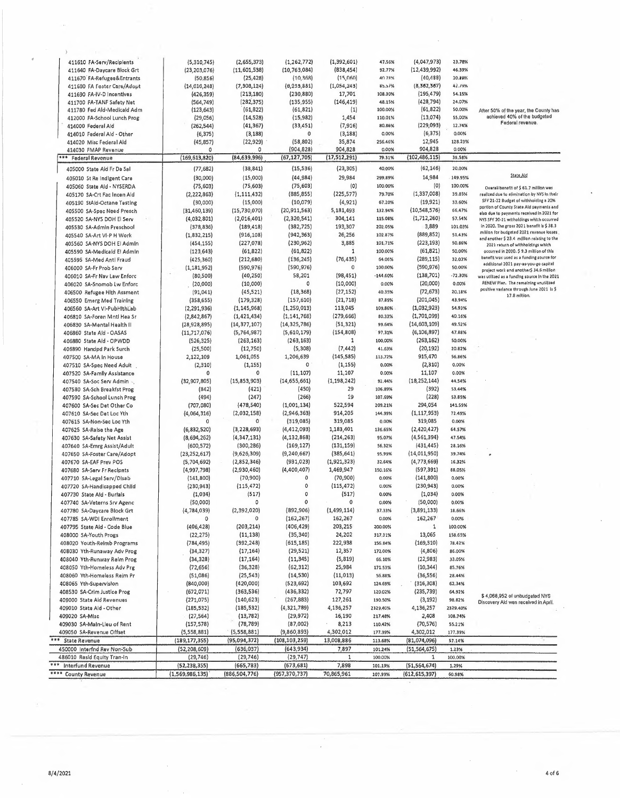| 411610 FA-Serv/Recipients    | (5,310,745)     | (2,655,373)     | (1, 262, 772)   | (1,392,601)    | 47,56%     | (4,047,973)     | 23.78%    |                                                                                       |
|------------------------------|-----------------|-----------------|-----------------|----------------|------------|-----------------|-----------|---------------------------------------------------------------------------------------|
| 411640 FA-Daycare Block Grt  | (23, 203, 076)  | (11,601,538)    | (10, 763, 084)  | (838, 454)     | 92.77%     | (12, 439, 992)  | 46.39%    |                                                                                       |
| 411670 FA-Refugee&Entrants   | (50, 856)       | (25, 428)       | (10, 368)       | (15,060)       | 40.78%     | (40, 488)       | 30.39%    |                                                                                       |
| 411600 FA Foster Care/Adout  | (14, 010, 248)  | (7, 308, 124)   | (0, 235, 881)   | (1,054,245)    | 85.57%     | (5, 562, 567)   | 42.19%    |                                                                                       |
|                              |                 |                 | (230, 880)      |                | 108.30%    | (195, 479)      | 54.15%    |                                                                                       |
| 411690 FA-IV-D Incentives    | (426, 359)      | (213, 180)      |                 | 17,701         |            |                 |           |                                                                                       |
| 411700 FA-TANF Safety Net    | (564, 749)      | (282, 375)      | (135, 955)      | (146, 419)     | 48.15%     | (428, 794)      | 24.07%    |                                                                                       |
| 411780 Fed Ald-Medicald Adm  | (123, 643)      | (61, 822)       | (61, 821)       | (1)            | 100.00%    | (61, 822)       | 50,00%    | After 50% of the year, the County has                                                 |
| 412000 FA-School Lunch Prog  | (29,056)        | (14, 528)       | (15,982)        | 1,454          | 110.01%    | (13,074)        | 55,00%    | achieved 40% of the budgeted<br>Federal revenue.                                      |
| 414000 Federal Ald           | (262, 544)      | (41, 367)       | (33, 451)       | (7, 916)       | 80.86%     | (229,093)       | 12.74%    |                                                                                       |
| 414010 Federal Aid - Other   | (6, 375)        | (3, 188)        | 0               | (3, 188)       | 0.00%      | (6, 375)        | 0.00%     |                                                                                       |
| 414020 Misc Federal Ald      | (45, 857)       | (22, 929)       | (58,802)        | 35,874         | 256.46%    | 12,945          | 128.23%   |                                                                                       |
| 414030 FMAP Revenue          | $\circ$         | 0               | (904, 828)      | 904,828        | 0.00%      | 904,828         | 0.00%     |                                                                                       |
| *** Federal Revenue          | (169, 613, 820) | (84, 639, 996)  | (67, 127, 705)  | (17, 512, 291) | 79.31%     | (102, 486, 115) | 39.58%    |                                                                                       |
|                              |                 |                 |                 |                |            |                 |           |                                                                                       |
| 405000 State Aid Fr Da Sal   | (77, 682)       | (38, 841)       | (15, 536)       | (23, 305)      | 40,00%     | (62, 146)       | 20.00%    |                                                                                       |
| 405010 St Re Indigent Care   | (30,000)        | (15,000)        | (44, 984)       | 29,984         | 299.89%    | 14,984          | 149.95%   | <b>State Ald</b>                                                                      |
| 405060 State Ald - NYSERDA   | (75, 603)       | (75, 603)       | (75, 603)       | (0)            | 100.00%    | (0)             | 100.00%   | Overali benefit of \$ 61.7 million wes                                                |
| 405170 SA-Crt Fac Incen Ald  | (2, 222, 863)   | (1, 111, 432)   | (885, 855)      | (225, 577)     | 79.70%     | (1, 337, 008)   | 39.85%    | realized due to elimination by NYS In their                                           |
| 405190 StAld-Octane Testing  | (30,000)        | (15,000)        | (10,079)        | (4, 921)       | 67.20%     | (19,921)        | 33.60%    | SFY 21-22 Budget of withholding a 20%                                                 |
| 405500 SA-Spec Need Presch   | (31, 460, 139)  | (15, 730, 070)  | (20, 911, 563)  | 5,181,493      | 132.94%    | (10, 548, 576)  | 66.47%    | portion of County State Aid payments and                                              |
|                              |                 |                 |                 |                |            |                 |           | elso due to payments received in 2021 for                                             |
| 405520 SA-NYS DOH El Serv    | (4,032,801)     | (2,016,401)     | (2,320,541)     | 304,141        | 115.08%    | (1,712,260)     | 57.54%    | NYS SFY 20-21 witholdings which occurred                                              |
| 405530 SA-Admin Preschool    | (378, 836)      | (189, 418)      | (382, 725)      | 193,307        | 202.05%    | 3,889           | 101.03%   | In 2020. The gross 2021 benefit is \$38.3<br>million for budgeted 2021 revenue losses |
| 405540 SA-Art VI-P H Work    | (1,832,215)     | (916, 108)      | (942, 363)      | 26,256         | 102.87%    | (889, 852)      | 51,43%    | and another \$ 23.4 million relating to the                                           |
| 405560 SA-NYS DOH El Admin   | (454, 155)      | (227,078)       | (230, 962)      | 3,885          | 101,71%    | (223, 193)      | 50.86%    | 2021 return of withholdings which                                                     |
| 405590 SA-Medicald El Admin  | (123, 643)      | (61, 822)       | (61, 822)       | 1              | 100.00%    | (61, 821)       | 50.00%    | occurred in 2020. \$9.3 million of this                                               |
| 405595 SA-Med Antl Fraud     | (425, 360)      | (212, 680)      | (136, 245)      | (76, 435)      | 64.06%     | (289, 115)      | 32.03%    | benefit was used as a funding source for                                              |
| 406000 SA-Fr Prob Serv       | (1, 181, 952)   | (590, 976)      | (590, 976)      | 0              | 100,00%    | (590, 976)      | 50.00%    | additional 2021 pay-as-you-go capital                                                 |
| 406010 SA-Fr Nav Law Enforc  | (80, 500)       | (40, 250)       | 58,201          | (98,451)       | $-144.60%$ | (138, 701)      | $-72.30%$ | project work end another\$ 34.6 million                                               |
|                              |                 |                 |                 |                |            |                 |           | was utilized as a funding source in the 2021<br>RENEW Plen. The remaining unutilized  |
| 406020 SA-Snomob Lw Enforc   | (20,000)        | (10,000)        | 0               | (10,000)       | 0.00%      | (20,000)        | 0.00%     | positive variance through June 2021 is \$                                             |
| 406500 Refugee Hith Assment  | (91, 041)       | (45, 521)       | (18, 368)       | (27, 152)      | 40.35%     | (72, 673)       | 20,18%    | 17.8 million.                                                                         |
| 406550 Emerg Med Training    | (358, 655)      | (179, 328)      | (157,610)       | (21, 718)      | 87,89%     | (201, 045)      | 43.94%    |                                                                                       |
| 406560 SA-Art VI-PubHithLab  | (2, 291, 936)   | (1, 145, 968)   | (1, 259, 013)   | 113,045        | 109,86%    | (1,032,923)     | 54.93%    |                                                                                       |
| 406810 SA-Foren Mntl Hea Sr  | (2,842,867)     | (1, 421, 434)   | (1, 141, 768)   | (279, 666)     | 80.33%     | (1,701,099)     | 40.16%    |                                                                                       |
| 406830 SA-Mental Health II   | (28, 928, 895)  | (14, 377, 107)  | (14, 325, 786)  | (51, 321)      | 99.64%     | (14,603,109)    | 49.52%    |                                                                                       |
| 406860 State Ald - OASAS     | (11,717,076)    | (5,764,987)     | (5,610,179)     | (154, 808)     | 97.31%     | (6, 106, 897)   | 47.88%    |                                                                                       |
|                              |                 |                 |                 |                |            |                 |           |                                                                                       |
| 406880 State Aid - OPWDD     | (526, 325)      | (263, 163)      | (263, 163)      | 1              | 100,00%    | (263, 162)      | 50.00%    |                                                                                       |
| 406890 Handpd Park Surch     | (25, 500)       | (12,750)        | (5,308)         | (7, 442)       | 41.63%     | (20, 192)       | 20.82%    |                                                                                       |
| 407500 SA-MA In House        | 2,122,109       | 1,061,055       | 1,206,639       | (145, 585)     | 113.72%    | 915,470         | 56.86%    |                                                                                       |
| 407510 SA-Spec Need Adult    | (2, 310)        | (1, 155)        | 0               | (1, 155)       | 0.00%      | (2,310)         | 0.00%     |                                                                                       |
| 407520 SA-Family Assistance  | 0               | 0               | (11, 107)       | 11,107         | 0.00%      | 11,107          | 0.00%     |                                                                                       |
| 407540 SA-Soc Serv Admin     | (32,907,805)    | (15,853,903)    | (14, 655, 661)  | (1, 198, 242)  | 92.44%     | (18, 252, 144)  | 44,54%    |                                                                                       |
| 407580 SA-Sch Breakfst Prog  | (842)           | (421)           | (450)           | 29             | 106.89%    | (392)           | 53.44%    |                                                                                       |
|                              |                 |                 | (266)           | 19             | 107.69%    | (228)           | 53.85%    |                                                                                       |
| 407590 SA-School Lunch Prog  | (494)           | (247)           |                 |                |            |                 |           |                                                                                       |
| 407600 SA-Sec Det Other Co   | (707,080)       | (478, 540)      | (1,001,134)     | 522,594        | 209.21%    | 294,054         | 141.59%   |                                                                                       |
| 407610 SA-Sec Det Loc Yth    | (4,064,316)     | (2,032,158)     | (2,946,363)     | 914,205        | 144.99%    | (1, 117, 953)   | 72,49%    |                                                                                       |
| 407615 SA-Non-Sec Loc Yth    |                 | $\Omega$        | (319,085)       | 319,085        | 0.00%      | 319,085         | 0.00%     |                                                                                       |
| 407625 SA-Ralse the Age      | (6,832,520)     | (3, 228, 693)   | (4, 412, 093)   | 1,183,401      | 136.65%    | (2,420,427)     | 64.57%    |                                                                                       |
| 407630 SA-Safety Net Assist  | (8,694,262)     | (4, 347, 131)   | (4, 132, 868)   | (214, 263)     | 95.07%     | (4, 561, 394)   | 47.54%    |                                                                                       |
| 407640 SA-Emrg Assist/Adult  | (600, 572)      | (300, 286)      | (169, 127)      | (131, 159)     | 56,32%     | (431, 445)      | 28.16%    |                                                                                       |
| 407650 SA-Foster Care/Adopt  | (23, 252, 617)  | (9,626,309)     | (9, 240, 667)   | (385, 641)     | 95,99%     | (14,011,950)    | 39.74%    |                                                                                       |
|                              |                 |                 |                 |                |            |                 |           |                                                                                       |
| 407670 SA-EAF Prev POS       | (5,704,692)     | (2,852,346)     | (931, 023)      | (1,921,323)    | 32.64%     | (4,773,669)     | 16.32%    |                                                                                       |
| 407680 SA-Serv Fr Recipnts   | (4,997,798)     | (2,930,460)     | (4,400,407)     | 1,469,947      | 150.16%    | (597, 391)      | 88,05%    |                                                                                       |
| 407710 SA-Legal Serv/Disab   | (141,800)       | (70,900)        | 0               | (70, 900)      | 0.00%      | (141,800)       | 0.00%     |                                                                                       |
| 407720 SA-Handicapped Child  | (230, 943)      | (115, 472)      | 0               | (115, 472)     | 0.00%      | (230,943)       | 0.00%     |                                                                                       |
| 407730 State Ald - Burlals   | (1,034)         | (517)           | $\circ$         | (517)          | 0.00%      | (1,034)         | 0.00%     |                                                                                       |
| 407740 SA-Veterns Srv Agenc  | (50,000)        | 0               | 0               | 0              | 0.00%      | (50,000)        | 0.00%     |                                                                                       |
| 407780 SA-Daycare Block Grt  | (4,784,039)     | (2,392,020)     | (892, 906)      | (1, 499, 114)  | 37.33%     | (3,891,133)     | 18.66%    |                                                                                       |
| 407785 SA-WDI Enrollment     | 0               | 0               | (162, 267)      | 162,267        | 0.00%      | 162,267         | 0.00%     |                                                                                       |
| 407795 State Aid - Code Blue | (406, 428)      |                 |                 |                |            |                 |           |                                                                                       |
|                              |                 | (203, 214)      | (406, 429)      | 203,215        | 200.00%    | 1               | 100.00%   |                                                                                       |
| 408000 SA-Youth Progs        | (22, 275)       | (11, 138)       | (35, 340)       | 24,202         | 317, 31%   | 13,065          | 158.65%   |                                                                                       |
| 408020 Youth-Relmb Programs  | (784, 495)      | (392, 248)      | (615, 185)      | 222,938        | 156.84%    | (169, 310)      | 78.42%    |                                                                                       |
| 408030 Yth-Runaway Adv Prog  | (34, 327)       | (17, 164)       | (29, 521)       | 12,357         | 172,00%    | (4,806)         | 86.00%    |                                                                                       |
| 408040 Yth-Runway Reim Prog  | (34,328)        | (17, 164)       | (11, 345)       | (5,819)        | 66,10%     | (22, 983)       | 33.05%    |                                                                                       |
| 408050 Yth-Homeless Adv Prg  | (72, 656)       | (36, 328)       | (62, 312)       | 25,984         | 171.53%    | (10, 344)       | 85.76%    |                                                                                       |
| 408060 Yth-Homeless Reim Pr  | (51,086)        | (25, 543)       | (14, 530)       | (11, 013)      | 56.88%     | (36, 556)       | 28.44%    |                                                                                       |
| 408065 Yth-Supervision       | (840,000)       | {420,000}       | (523,692)       | 103,692        | 124.69%    | (316, 308)      | 62,34%    |                                                                                       |
| 408530 SA-Crim Justice Prog  |                 |                 |                 |                |            |                 |           |                                                                                       |
|                              | (672, 071)      | (363,536)       | (436, 332)      | 72,797         | 120.02%    | (235, 739)      | 64.92%    | \$4,068,952 of unbudgeted NYS                                                         |
| 409000 State Aid Revenues    | (271, 075)      | (140,623)       | (267, 883)      | 127,261        | 190.50%    | (3, 192)        | 98.82%    | Discovery Ald was received in April.                                                  |
| 409010 State Ald - Other     | (185, 532)      | (185, 532)      | (4, 321, 789)   | 4,136,257      | 2329.40%   | 4,136,257       | 2329.40%  |                                                                                       |
| 409020 SA-MIsc               | (27, 564)       | (13, 782)       | (29, 972)       | 16,190         | 217.48%    | 2,408           | 108.74%   |                                                                                       |
| 409030 SA-Main-Lieu of Rent  | (157, 578)      | (78, 789)       | (87,002)        | 8,213          | 110.42%    | (70,576)        | 55.21%    |                                                                                       |
| 409050 SA-Revenue Offset     | (5,558,881)     | (5,558,881)     | (9,860,893)     | 4,302,012      | 177.39%    | 4,302,012       | 177.39%   |                                                                                       |
| *** State Revenue            | (189, 177, 355) | (95,094,372)    | (108, 103, 259) | 13,008,886     | 113.68%    | (81,074,096)    |           |                                                                                       |
|                              |                 |                 |                 |                |            |                 | 57.14%    |                                                                                       |
| 450000 Interfnd Rev Non-Sub  | (52, 208, 609)  | (636,037)       | (643, 934)      | 7,897          | 101.24%    | (51,564,675)    | 1.23%     |                                                                                       |
| 486010 Resid Equity Tran-in  | (29, 746)       | (29, 746)       | (29, 747)       | 1              | 100.00%    | 1               | 100.00%   |                                                                                       |
| ***<br>Interfund Revenue     | (52, 238, 355)  | (665, 783)      | (673, 681)      | 7,898          | 101.19%    | (51, 564, 674)  | 1,29%     |                                                                                       |
| **** County Revenue          | (1,569,986,135) | (886, 504, 776) | (957, 370, 737) | 70,865,961     | 107.99%    | (612, 615, 397) | 60,98%    |                                                                                       |
|                              |                 |                 |                 |                |            |                 |           |                                                                                       |

 $\mathcal{A}$ 

i.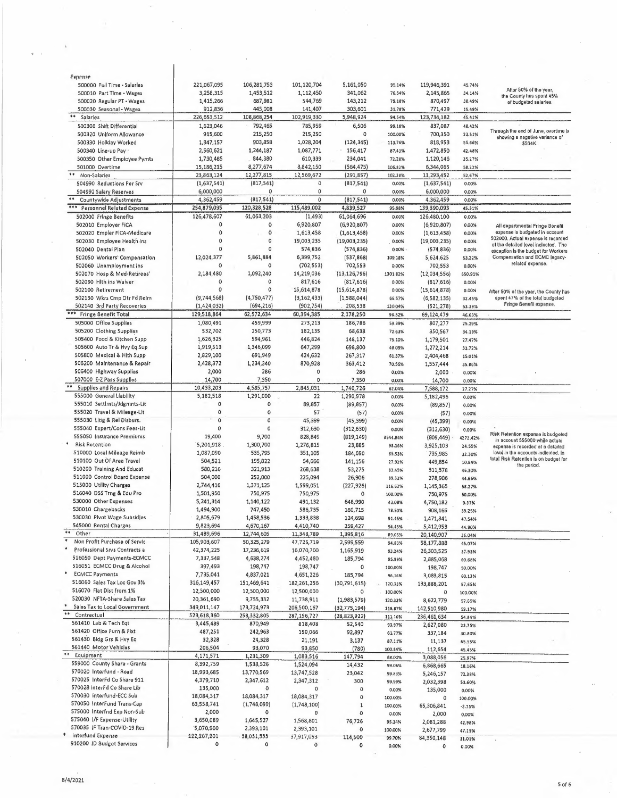| 500000 Full Time - Salarles         | 221,067,095  | 106,281,753 | 101,120,704   | 5,161,050      | 95.14%          | 119,946,391     | 45,74%          |                                                                      |
|-------------------------------------|--------------|-------------|---------------|----------------|-----------------|-----------------|-----------------|----------------------------------------------------------------------|
| 500010 Part Time - Wages            | 3,258,315    | 1,453,512   | 1,112,450     | 341,062        | 76.54%          | 2,145,865       | 34.14%          | After 50% of the year,<br>the County has spent 45%                   |
| 500020 Regular PT - Wages           | 1,415,266    | 687,981     | 544,769       | 143,212        | 79.18%          | 870,497         | 38.49%          | of budgeted salarles.                                                |
| 500030 Seasonal - Wages             | 912,836      | 445,008     | 141,407       | 303,601        | 31,78%          | 771,429         | 15.49%          |                                                                      |
| $\ast\ast$<br>Salarles              | 226,653,512  | 108,868,254 | 102,919,330   | 5,948,924      | 94.54%          | 123,734,182     | 45.41%          |                                                                      |
| 500300 Shift Differential           |              | 792,465     | 785,959       | 6,506          |                 | 837,087         |                 |                                                                      |
|                                     | 1,623,046    |             |               |                | 99.18%          |                 | 48.42%          | Through the end of June, overtime is                                 |
| 500320 Uniform Allowance            | 915,600      | 215,250     | 215,250       | 0              | 100.00%         | 700,350         | 23.51%          | showing a negative variance of                                       |
| 500330 Hollday Worked               | 1,847,157    | 903,858     | 1,028,204     | (124, 345)     | 113.76%         | 818,953         | 55.66%          | \$564K.                                                              |
| 500340 Line-up Pay                  | 2,560,621    | 1,244,187   | 1,087,771     | 156,417        | 87.43%          | 1,472,850       | 42.48%          |                                                                      |
| 500350 Other Employee Pymts         | 1,730,485    | 844,380     | 610,339       | 234,041        | 72.28%          | 1,120,146       | 35.27%          |                                                                      |
| 501000 Overtime                     | 15, 186, 215 | 8,277,674   | 8,842,150     | (564, 475)     | 106.82%         | 6,344,065       | 58.22%          |                                                                      |
| $\ast\ast$                          |              |             |               |                |                 |                 |                 |                                                                      |
| Non-Salaries                        | 23,863,124   | 12,277,815  | 12,569,672    | (291, 857)     | 102.38%         | 11,293,452      | 52,67%          |                                                                      |
| 504990 Reductions Per Srv           | (1,637,541)  | (817, 541)  | 0             | (817,541)      | 0.00%           | (1,637,541)     | 0.00%           |                                                                      |
| 504992 Salary Reserves              | 6,000,000    | 0           | 0             | 0              | 0.00%           | 6,000,000       | 0.00%           |                                                                      |
| $\pm \pm$<br>Countywide Adjustments | 4,362,459    | (817, 541)  | $\mathbf 0$   | (817, 541)     | 0.00%           | 4,362,459       | 0.00%           |                                                                      |
| *** Personnel Related Expense       | 254,879,095  | 120,328,528 | 115,489,002   | 4,839,527      | 95.98%          | 139,390,093     | 45.31%          |                                                                      |
|                                     |              |             |               | 61,064,696     |                 |                 |                 |                                                                      |
| 502000 Fringe Benefits              | 126,478,607  | 61,063,203  | (1, 493)      |                | 0.00%           | 126,480,100     | 0.00%           |                                                                      |
| 502010 Employer FICA                | 0            | 0           | 6,920,807     | (6,920,807)    | 0.00%           | (6,920,807)     | 0.00%           | All departmentaj Fringe Benefit                                      |
| 502020 Empler FICA-Medicare         | $\circ$      | 0           | 1,613,458     | (1,613,458)    | 0.00%           | (1,613,458)     | 0.00%           | expense is budgeted in acceunt                                       |
| 502030 Employee Health Ins          | 0            | 0           | 19,003,235    | (19,003,235)   | 0.00%           | (19,003,235)    | 0.00%           | 502000. Actual expense is recorded                                   |
| 502040 Dentai Plan                  | o            | 0           | 574,836       | (574, 836)     | 0,00%           | (574, 836)      | 0.00%           | at the detailed level indiceted. The                                 |
|                                     |              | 5,861,884   | 6,399,752     |                |                 |                 |                 | exception is the budget for Workers<br>Compensation and ECMC legacy- |
| 502050 Workers' Compensation        | 12,024,377   |             |               | (537,868)      | 109.18%         | 5,624,625       | 53.22%          | related expense.                                                     |
| 502060 Unamployment Ins             |              | 0           | (702, 553)    | 702,553        | 0.00%           | 702,553         | 0.00%           |                                                                      |
| 502070 Hosp & Med-Retirees'         | 2,184,480    | 1,092,240   | 14,219,036    | (13, 126, 796) | 1301.82%        | (12,034,556)    | 650.91%         |                                                                      |
| 502090 Hlth ins Waiver              | 0            | 0           | 817,616       | (817, 616)     | 0.00%           | (817, 616)      | 0.00%           |                                                                      |
| 502100 Retirement                   | 0            | $\Omega$    | 15,614,878    | (15,614,878)   | 0.00%           | (15, 614, 878)  | 0.00%           | After 50% of the year, the County has                                |
| 502130 Wkrs Cmp Otr Fd Reim         | (9,744,568)  | (4,750,477) | (3, 162, 433) | (1,588,044)    | 66.57%          | (6, 582, 135)   | 32.45%          | spent 47% of the total budgeted                                      |
|                                     |              |             |               |                |                 |                 |                 | Fringe Benefit expanse.                                              |
| 502140 3rd Party Recoveries         | (1,424,032)  | (694, 216)  | (902, 754)    | 208,538        | 130.04%         | (521, 278)      | 63.39%          |                                                                      |
| *** Fringe Benefit Total            | 129,518,864  | 62,572,634  | 60,394,385    | 2,178,250      | 96.52%          | 69,124,479      | 46.63%          |                                                                      |
| 505000 Office Supplies              | 1,080,491    | 459,999     | 273,213       | 186,786        | 59.39%          | 807,277         | 25.29%          |                                                                      |
| 505200 Clothing Supplias            | 532,702      | 250,773     | 182,135       | 68,638         | 72.63%          | 350,567         | 34.19%          |                                                                      |
| 505400 Food & Kitchen Supp          | 1,626,325    | 594,961     | 446,824       | 148,137        | 75.10%          | 1,179,501       | 27.47%          |                                                                      |
|                                     |              |             |               |                |                 |                 |                 |                                                                      |
| 505600 Auto Tr & Hvy Eq Sup         | 1,919,513    | 1,346,099   | 647,299       | 698,800        | 48.09%          | 1,272,214       | 33.72%          |                                                                      |
| 505800 Medical & Hith Supp          | 2,829,100    | 691,949     | 424,632       | 267,317        | 61.37%          | 2,404,468       | 15.01%          |                                                                      |
| 506200 Maintenance & Repair         | 2,428,372    | 1,234,340   | 870,928       | 363,412        | 70.56%          | 1,557,444       | 35.86%          |                                                                      |
| 506400 Highway Supplias             | 2,000        | 286         | 0             | 286            | 0.00%           | 2,000           | 0.00%           |                                                                      |
| 507000 E-Z Pass Supplies            | 14,700       | 7,350       | 0             | 7,350          | 0,00%           | 14,700          | 0.00%           |                                                                      |
| **<br><b>Supplies and Repairs</b>   | 10,433,203   | 4,585,757   | 2,845,031     |                |                 |                 |                 |                                                                      |
|                                     |              |             |               | 1,740,726      | 62.04%          | 7,588,172       | 27.27%          |                                                                      |
| 555000 General Liability            | 5,182,518    | 1,291,000   | 22            | 1,290,978      | 0.00%           | 5,182,496       | 0.00%           |                                                                      |
| 555010 Settlmts/Jdgmnts-Lit         | 0            | 0           | 89,857        | (89, 857)      | 0.00%           | (89, 857)       | 0.00%           |                                                                      |
| 555020 Travel & Mileage-Lit         | 0            | 0           | 57            | (57)           | 0.00%           | (57)            | 0.00%           |                                                                      |
| 555030 Litig & Rel Disburs.         | 0            | 0           | 45,399        | (45, 399)      | 0.00%           | (45, 399)       | 0.00%           |                                                                      |
| 555040 Expert/Cons Fees-Lit         | 0            | $\Omega$    | 312,630       | (312, 630)     | 0.00%           | (312, 630)      |                 |                                                                      |
| 555050 Insurance Premiums           | 19,400       | 9,700       |               |                |                 |                 | 0.00%           | Risk Retention expense is budgeted                                   |
|                                     |              |             | 828,849       | (819, 149)     | 8544.84%        | (809, 449)      | 4272.42%        | in account 555000 while actual                                       |
| <b>Risk Retention</b>               | 5,201,918    | 1,300,700   | 1,276,815     | 23,885         | 98.16%          | 3,925,103       | 24.55%          | expense is recorded at a datailad                                    |
| 510000 Local Mileage Reimb          | 1,087,090    | 535,795     | 351,105       | 184,690        | 65.53%          | 735,985         | 32.30%          | level in the eccounts indicated, in                                  |
| 510100 Out Of Area Travel           | 504,521      | 195,822     | 54,666        | 141,156        | 27.92%          | 449,854         | 10.84%          | total Risk Retention is on budget for                                |
| 510200 Training And Educat          |              |             |               |                |                 |                 |                 | the period.                                                          |
|                                     |              |             |               |                |                 |                 |                 |                                                                      |
|                                     | 580,216      | 321,913     | 268,638       | 53,275         | 83.45%          | 311,578         | 46.30%          |                                                                      |
| 511000 Control Board Expense        | 504,000      | 252,000     | 225,094       | 26,906         | 89,32%          | 278,906         | 44.66%          |                                                                      |
| 515000 Utility Charges              | 2,744,416    | 1,371,125   | 1,599,051     | (227, 926)     | 116.62%         | 1,145,365       | 58.27%          |                                                                      |
| 516040 DSS Trng & Edu Pro           | 1,501,950    | 750,975     | 750,975       | ٥              | 100.00%         | 750,975         | 50.00%          |                                                                      |
| 530000 Other Expenses               | 5,241,314    | 1,140,122   | 491,132       | 648,990        | 43,08%          |                 |                 |                                                                      |
|                                     |              |             |               |                |                 | 4,750,182       | 9.37%           |                                                                      |
| 530010 Chargebacks                  | 1,494,900    | 747,450     | 586,735       | 160,715        | 78.50%          | 908,165         | 39.25%          |                                                                      |
| 530030 Plvot Wage Subsidles         | 2,805,679    | 1,458,536   | 1,333,838     | 124,698        | 91.45%          | 1,471,841       | 47.54%          |                                                                      |
| 545000 Rental Charges               | 9,823,694    | 4,670,167   | 4,410,740     | 259,427        | 94.45%          | 5,412,953       | 44.90%          |                                                                      |
| ÷٠<br>Other                         | 31,489,696   | 12,744,605  | 11,348,789    | 1,395,816      | 89.05%          | 20,140,907      | 36.04%          |                                                                      |
| Non Profit Purchase of Servic       | 105,903,607  | 50,325,279  | 47,725,719    | 2,599,559      | 94.83%          | 58,177,888      | 45,07%          |                                                                      |
| Professional Srvs Contracts a       | 42,374,225   | 17,236,619  | 16,070,700    | 1,165,919      | 93.24%          | 26,303,525      |                 |                                                                      |
| 516050 Dept Payments-ECMCC          |              |             |               |                |                 |                 | 37.93%          |                                                                      |
|                                     | 7,337,548    | 4,638,274   | 4,452,480     | 185,794        | 95.99%          | 2,885,068       | 60.68%          |                                                                      |
| 516051 ECMCC Drug & Alcohol         | 397,493      | 198,747     | 198,747       | 0              | 100,00%         | 198,747         | 50.00%          |                                                                      |
| <b>ECMCC Payments</b>               | 7,735,041    | 4,837,021   | 4,651,226     | 185,794        | 96,16%          | 3,083,815       | 60.13%          |                                                                      |
| 516060 Sales Tax Loc Gov 3%         | 316,149,457  | 151,469,641 | 182,261,256   | (30,791,615)   | 120.33%         | 133,888,201     | 57,65%          |                                                                      |
| 516070 Flat Dist from 1%            | 12,500,000   | 12,500,000  | 12,500,000    | $\circ$        | 100.00%         | 0               | 100.00%         |                                                                      |
| 520030 NFTA-Share Sales Tax         |              |             |               |                |                 |                 |                 |                                                                      |
|                                     | 20,361,690   | 9,755,332   | 11,738,911    | (1,983,579)    | 120.33%         | 8,622,779       | 57.65%          |                                                                      |
| Sales Tax to Local Government       | 349,011,147  | 173,724,973 | 206,500,167   | (32, 775, 194) | 118.87%         | 142,510,980     | 59.17%          |                                                                      |
| Contractual                         | 523,618,360  | 258,332,805 | 287,156,727   | (28, 823, 922) | 111.16%         | 236,461,634     | 54.84%          |                                                                      |
| 561410 Lab & Tech Eqt               | 3,445,489    | 870,949     | 818,408       | 52,540         | 93.97%          | 2,627,080       | 23,75%          |                                                                      |
| 561420 Office Furn & Fixt           | 487,251      | 242,963     | 150,066       | 92,897         | 61.77%          | 337,184         | 30.80%          |                                                                      |
| 561430 Bldg Grs & Hvy Eq            | 32,328       | 24,328      | 21,191        | 3,137          | 87.11%          |                 |                 |                                                                      |
| 561440 Motor Vehicles               | 206,504      |             |               |                |                 | 11,137          | 65.55%          |                                                                      |
|                                     |              | 93,070      | 93,850        | (780)          | 100.84%         | 112,654         | 45.45%          |                                                                      |
| Equipment                           | 4,171,571    | 1,231,309   | 1,083,516     | 147,794        | 88.00%          | 3,088,056       | 25.97%          |                                                                      |
| 559000 County Share - Grants        | 8,392,759    | 1,538,526   | 1,524,094     | 14,432         | 99.06%          | 6,868,665       | 18,16%          |                                                                      |
| 570020 Interfund - Road             | 18,993,685   | 13,770,569  | 13,747,528    | 23,042         | 99.83%          | 5,246,157       | 72,38%          |                                                                      |
| 570025 InterFd Co Share 911         | 4,379,710    | 2,347,612   | 2,347,312     | 300            | 99,99%          | 2,032,398       | 53.60%          |                                                                      |
| 570028 interFd Co Share Lib         | 135,000      | $\circ$     | O             | 0              |                 |                 |                 |                                                                      |
| S70030 interfund-ECC Sub            | 18,084,317   |             |               |                | 0.00%           | 135,000         | $0.00\%$        |                                                                      |
|                                     |              | 18,084,317  | 18,084,317    | 0              | 100.00%         | 0               | 100.00%         |                                                                      |
| 570050 InterFund Trans-Cap          | 63,558,741   | (1,748,099) | (1,748,100)   | $\mathbf 1$    | 100.00%         | 65,306,841      | $-2.75%$        |                                                                      |
| 575000 Interfnd Exp Non-Sub         | 2,000        | 0           | 0             | 0              | 0.00%           | 2,000           | 0,00%           |                                                                      |
| 575040  /F Expense-Utility          | 3,650,089    | 1,645,527   | 1,568,801     | 76,726         | 95.34%          | 2,081,288       | 42.98%          |                                                                      |
| 570035 IF Tran-COVID-19 Res         | 5,070,900    | 2,393,101   | 2,393,101     | ٥              | 100,00%         | 2,677,799       |                 |                                                                      |
| interfund Expense                   | 122,207,201  | 58,051,555  | 37,917,053    |                |                 |                 | 47.19%          |                                                                      |
| 910200 ID Budget Services           | 0            | ٥           | 0             | 114,500<br>0   | 99.70%<br>0.00% | 84,350,148<br>0 | 31,01%<br>0.00% |                                                                      |